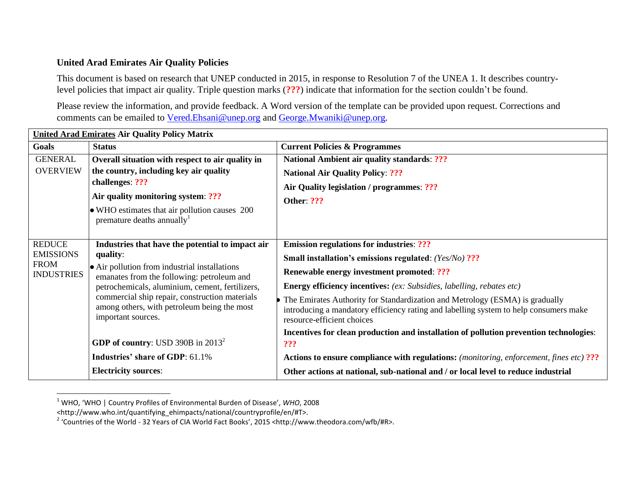## **United Arad Emirates Air Quality Policies**

This document is based on research that UNEP conducted in 2015, in response to Resolution 7 of the UNEA 1. It describes countrylevel policies that impact air quality. Triple question marks (**???**) indicate that information for the section couldn't be found.

Please review the information, and provide feedback. A Word version of the template can be provided upon request. Corrections and comments can be emailed to [Vered.Ehsani@unep.org](mailto:Vered.Ehsani@unep.org) and [George.Mwaniki@unep.org.](mailto:George.Mwaniki@unep.org)

| <b>United Arad Emirates Air Quality Policy Matrix</b>                 |                                                                                                                                                                                                                                                                                                                                       |                                                                                                                                                                                                                                                                                                                                                                                                                                                      |  |  |
|-----------------------------------------------------------------------|---------------------------------------------------------------------------------------------------------------------------------------------------------------------------------------------------------------------------------------------------------------------------------------------------------------------------------------|------------------------------------------------------------------------------------------------------------------------------------------------------------------------------------------------------------------------------------------------------------------------------------------------------------------------------------------------------------------------------------------------------------------------------------------------------|--|--|
| Goals                                                                 | <b>Status</b>                                                                                                                                                                                                                                                                                                                         | <b>Current Policies &amp; Programmes</b>                                                                                                                                                                                                                                                                                                                                                                                                             |  |  |
| <b>GENERAL</b><br><b>OVERVIEW</b>                                     | Overall situation with respect to air quality in<br>the country, including key air quality<br>challenges: ???<br>Air quality monitoring system: ???<br>• WHO estimates that air pollution causes 200<br>premature deaths annually <sup>1</sup>                                                                                        | <b>National Ambient air quality standards: ???</b><br><b>National Air Quality Policy: ???</b><br>Air Quality legislation / programmes: ???<br><b>Other: ???</b>                                                                                                                                                                                                                                                                                      |  |  |
| <b>REDUCE</b><br><b>EMISSIONS</b><br><b>FROM</b><br><b>INDUSTRIES</b> | Industries that have the potential to impact air<br>quality:<br>• Air pollution from industrial installations<br>emanates from the following: petroleum and<br>petrochemicals, aluminium, cement, fertilizers,<br>commercial ship repair, construction materials<br>among others, with petroleum being the most<br>important sources. | <b>Emission regulations for industries: ???</b><br>Small installation's emissions regulated: (Yes/No) ???<br><b>Renewable energy investment promoted: ???</b><br><b>Energy efficiency incentives:</b> (ex: Subsidies, labelling, rebates etc)<br>The Emirates Authority for Standardization and Metrology (ESMA) is gradually<br>introducing a mandatory efficiency rating and labelling system to help consumers make<br>resource-efficient choices |  |  |
|                                                                       | <b>GDP of country:</b> USD 390B in $2013^2$                                                                                                                                                                                                                                                                                           | Incentives for clean production and installation of pollution prevention technologies:<br>???                                                                                                                                                                                                                                                                                                                                                        |  |  |
|                                                                       | <b>Industries' share of GDP: 61.1%</b>                                                                                                                                                                                                                                                                                                | <b>Actions to ensure compliance with regulations:</b> (monitoring, enforcement, fines etc) ???                                                                                                                                                                                                                                                                                                                                                       |  |  |
|                                                                       | <b>Electricity sources:</b>                                                                                                                                                                                                                                                                                                           | Other actions at national, sub-national and / or local level to reduce industrial                                                                                                                                                                                                                                                                                                                                                                    |  |  |

<sup>1</sup> WHO, 'WHO | Country Profiles of Environmental Burden of Disease', *WHO*, 2008

 $\overline{a}$ 

<sup>&</sup>lt;http://www.who.int/quantifying\_ehimpacts/national/countryprofile/en/#T>.

<sup>&</sup>lt;sup>2</sup> 'Countries of the World - 32 Years of CIA World Fact Books', 2015 <http://www.theodora.com/wfb/#R>.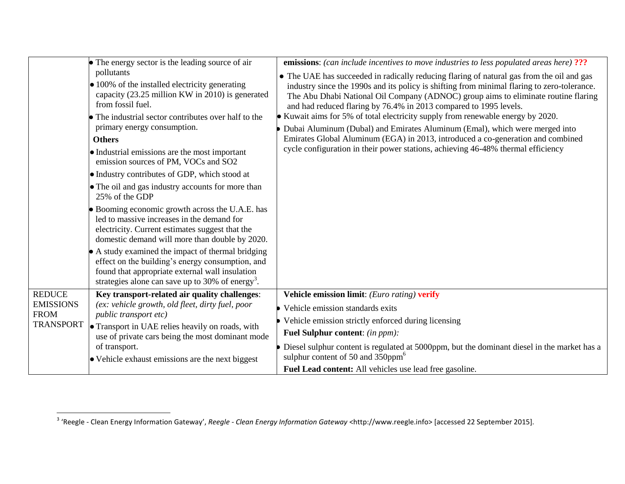|                                                                      | • The energy sector is the leading source of air<br>pollutants<br>$\bullet$ 100% of the installed electricity generating                                                                                                                                                                                       | emissions: (can include incentives to move industries to less populated areas here) ???<br>• The UAE has succeeded in radically reducing flaring of natural gas from the oil and gas<br>industry since the 1990s and its policy is shifting from minimal flaring to zero-tolerance.<br>The Abu Dhabi National Oil Company (ADNOC) group aims to eliminate routine flaring<br>and had reduced flaring by 76.4% in 2013 compared to 1995 levels.<br>• Kuwait aims for 5% of total electricity supply from renewable energy by 2020.<br>Dubai Aluminum (Dubal) and Emirates Aluminum (Emal), which were merged into<br>Emirates Global Aluminum (EGA) in 2013, introduced a co-generation and combined<br>cycle configuration in their power stations, achieving 46-48% thermal efficiency |
|----------------------------------------------------------------------|----------------------------------------------------------------------------------------------------------------------------------------------------------------------------------------------------------------------------------------------------------------------------------------------------------------|-----------------------------------------------------------------------------------------------------------------------------------------------------------------------------------------------------------------------------------------------------------------------------------------------------------------------------------------------------------------------------------------------------------------------------------------------------------------------------------------------------------------------------------------------------------------------------------------------------------------------------------------------------------------------------------------------------------------------------------------------------------------------------------------|
|                                                                      | capacity (23.25 million KW in 2010) is generated<br>from fossil fuel.<br>• The industrial sector contributes over half to the<br>primary energy consumption.<br><b>Others</b><br>• Industrial emissions are the most important                                                                                 |                                                                                                                                                                                                                                                                                                                                                                                                                                                                                                                                                                                                                                                                                                                                                                                         |
|                                                                      | emission sources of PM, VOCs and SO2<br>• Industry contributes of GDP, which stood at<br>• The oil and gas industry accounts for more than<br>25% of the GDP                                                                                                                                                   |                                                                                                                                                                                                                                                                                                                                                                                                                                                                                                                                                                                                                                                                                                                                                                                         |
|                                                                      | • Booming economic growth across the U.A.E. has<br>led to massive increases in the demand for<br>electricity. Current estimates suggest that the<br>domestic demand will more than double by 2020.                                                                                                             |                                                                                                                                                                                                                                                                                                                                                                                                                                                                                                                                                                                                                                                                                                                                                                                         |
|                                                                      | • A study examined the impact of thermal bridging<br>effect on the building's energy consumption, and<br>found that appropriate external wall insulation<br>strategies alone can save up to 30% of energy <sup>3</sup> .                                                                                       |                                                                                                                                                                                                                                                                                                                                                                                                                                                                                                                                                                                                                                                                                                                                                                                         |
| <b>REDUCE</b><br><b>EMISSIONS</b><br><b>FROM</b><br><b>TRANSPORT</b> | Key transport-related air quality challenges:<br>(ex: vehicle growth, old fleet, dirty fuel, poor<br>public transport etc)<br><b>• Transport in UAE relies heavily on roads, with</b><br>use of private cars being the most dominant mode<br>of transport.<br>• Vehicle exhaust emissions are the next biggest | Vehicle emission limit: (Euro rating) verify                                                                                                                                                                                                                                                                                                                                                                                                                                                                                                                                                                                                                                                                                                                                            |
|                                                                      |                                                                                                                                                                                                                                                                                                                | Vehicle emission standards exits                                                                                                                                                                                                                                                                                                                                                                                                                                                                                                                                                                                                                                                                                                                                                        |
|                                                                      |                                                                                                                                                                                                                                                                                                                | Vehicle emission strictly enforced during licensing                                                                                                                                                                                                                                                                                                                                                                                                                                                                                                                                                                                                                                                                                                                                     |
|                                                                      |                                                                                                                                                                                                                                                                                                                | <b>Fuel Sulphur content:</b> (in ppm):                                                                                                                                                                                                                                                                                                                                                                                                                                                                                                                                                                                                                                                                                                                                                  |
|                                                                      |                                                                                                                                                                                                                                                                                                                | Diesel sulphur content is regulated at 5000ppm, but the dominant diesel in the market has a<br>sulphur content of 50 and $350$ ppm <sup>6</sup>                                                                                                                                                                                                                                                                                                                                                                                                                                                                                                                                                                                                                                         |
|                                                                      |                                                                                                                                                                                                                                                                                                                | Fuel Lead content: All vehicles use lead free gasoline.                                                                                                                                                                                                                                                                                                                                                                                                                                                                                                                                                                                                                                                                                                                                 |

 3 'Reegle - Clean Energy Information Gateway', *Reegle - Clean Energy Information Gateway* <http://www.reegle.info> [accessed 22 September 2015].